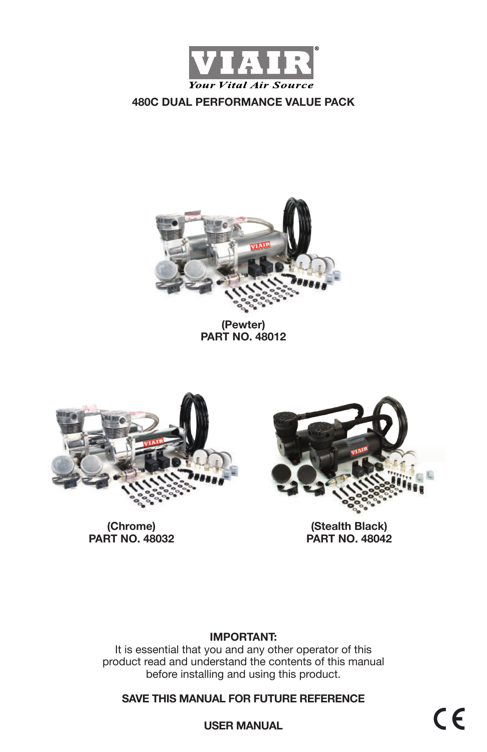



### **(Pewter) PART NO. 48012**



**(Chrome) PART NO. 48032**



**(Stealth Black) PART NO. 48042**

### **IMPORTANT:**

It is essential that you and any other operator of this product read and understand the contents of this manual before installing and using this product.

**SAVE THIS MANUAL FOR FUTURE REFERENCE**

 $C \in$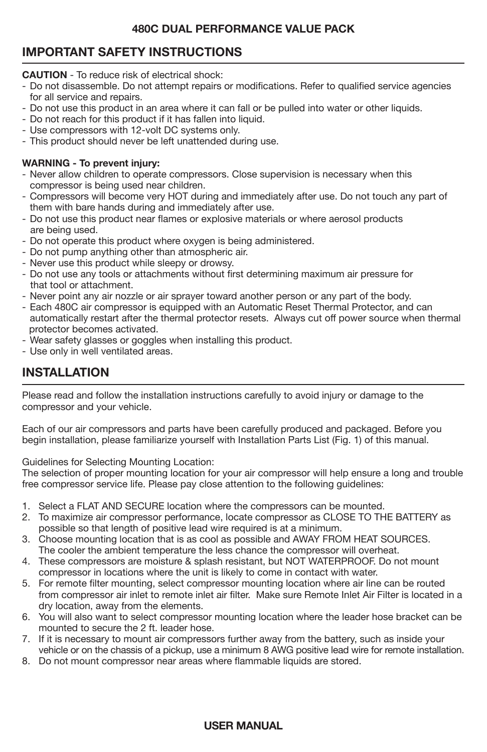# **IMPORTANT SAFETY INSTRUCTIONS**

**CAUTION** - To reduce risk of electrical shock:

- Do not disassemble. Do not attempt repairs or modifications. Refer to qualified service agencies for all service and repairs.
- Do not use this product in an area where it can fall or be pulled into water or other liquids.
- Do not reach for this product if it has fallen into liquid.
- Use compressors with 12-volt DC systems only.
- This product should never be left unattended during use.

#### **WARNING - To prevent injury:**

- Never allow children to operate compressors. Close supervision is necessary when this compressor is being used near children.
- Compressors will become very HOT during and immediately after use. Do not touch any part of them with bare hands during and immediately after use.
- Do not use this product near flames or explosive materials or where aerosol products are being used.
- Do not operate this product where oxygen is being administered.
- Do not pump anything other than atmospheric air.
- Never use this product while sleepy or drowsy.
- Do not use any tools or attachments without first determining maximum air pressure for that tool or attachment.
- Never point any air nozzle or air sprayer toward another person or any part of the body.
- Each 480C air compressor is equipped with an Automatic Reset Thermal Protector, and can automatically restart after the thermal protector resets. Always cut off power source when thermal protector becomes activated.
- Wear safety glasses or goggles when installing this product.
- Use only in well ventilated areas.

# **INSTALLATION**

Please read and follow the installation instructions carefully to avoid injury or damage to the compressor and your vehicle.

Each of our air compressors and parts have been carefully produced and packaged. Before you begin installation, please familiarize yourself with Installation Parts List (Fig. 1) of this manual.

Guidelines for Selecting Mounting Location:

The selection of proper mounting location for your air compressor will help ensure a long and trouble free compressor service life. Please pay close attention to the following guidelines:

- 1. Select a FLAT AND SECURE location where the compressors can be mounted.
- 2. To maximize air compressor performance, locate compressor as CLOSE TO THE BATTERY as possible so that length of positive lead wire required is at a minimum.
- 3. Choose mounting location that is as cool as possible and AWAY FROM HEAT SOURCES. The cooler the ambient temperature the less chance the compressor will overheat.
- 4. These compressors are moisture & splash resistant, but NOT WATERPROOF. Do not mount compressor in locations where the unit is likely to come in contact with water.
- 5. For remote filter mounting, select compressor mounting location where air line can be routed from compressor air inlet to remote inlet air filter. Make sure Remote Inlet Air Filter is located in a dry location, away from the elements.
- 6. You will also want to select compressor mounting location where the leader hose bracket can be mounted to secure the 2 ft. leader hose.
- 7. If it is necessary to mount air compressors further away from the battery, such as inside your vehicle or on the chassis of a pickup, use a minimum 8 AWG positive lead wire for remote installation.
- 8. Do not mount compressor near areas where flammable liquids are stored.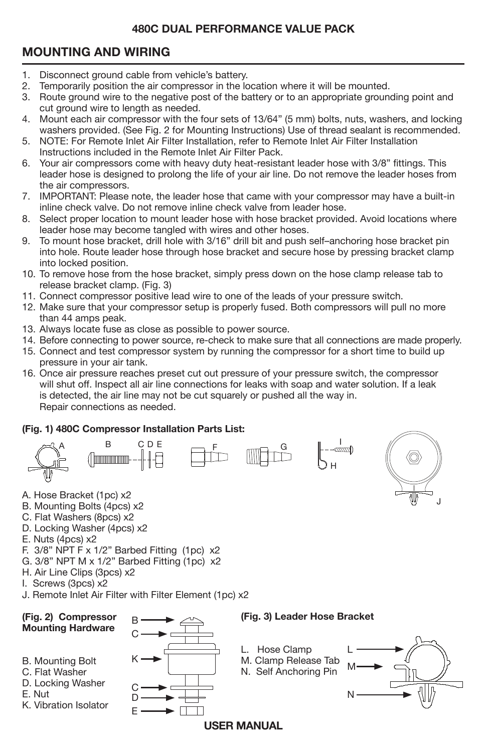# **MOUNTING AND WIRING**

- 1. Disconnect ground cable from vehicle's battery.<br>2. Temporarily position the air compressor in the lo
- 2. Temporarily position the air compressor in the location where it will be mounted.<br>3. Boute ground wire to the negative post of the battery or to an appropriate ground
- 3. Route ground wire to the negative post of the battery or to an appropriate grounding point and cut ground wire to length as needed.
- 4. Mount each air compressor with the four sets of 13/64" (5 mm) bolts, nuts, washers, and locking washers provided. (See Fig. 2 for Mounting Instructions) Use of thread sealant is recommended.<br>5. NOTE: For Remote Inlet Air Filter Installation. refer to Remote Inlet Air Filter Installation
- 5. NOTE: For Remote Inlet Air Filter Installation, refer to Remote Inlet Air Filter Installation Instructions included in the Remote Inlet Air Filter Pack.
- 6. Your air compressors come with heavy duty heat-resistant leader hose with 3/8" fittings. This leader hose is designed to prolong the life of your air line. Do not remove the leader hoses from the air compressors.
- 7. IMPORTANT: Please note, the leader hose that came with your compressor may have a built-in inline check valve. Do not remove inline check valve from leader hose.
- 8. Select proper location to mount leader hose with hose bracket provided. Avoid locations where leader hose may become tangled with wires and other hoses.
- 9. To mount hose bracket, drill hole with 3/16" drill bit and push self–anchoring hose bracket pin into hole. Route leader hose through hose bracket and secure hose by pressing bracket clamp into locked position.
- 10. To remove hose from the hose bracket, simply press down on the hose clamp release tab to release bracket clamp. (Fig. 3)
- 11. Connect compressor positive lead wire to one of the leads of your pressure switch.
- 12. Make sure that your compressor setup is properly fused. Both compressors will pull no more than 44 amps peak.
- 13. Always locate fuse as close as possible to power source.
- 14. Before connecting to power source, re-check to make sure that all connections are made properly.
- 15. Connect and test compressor system by running the compressor for a short time to build up pressure in your air tank.
- 16. Once air pressure reaches preset cut out pressure of your pressure switch, the compressor will shut off. Inspect all air line connections for leaks with soap and water solution. If a leak is detected, the air line may not be cut squarely or pushed all the way in. Repair connections as needed.

### **(Fig. 1) 480C Compressor Installation Parts List:**





- A. Hose Bracket (1pc) x2
- B. Mounting Bolts (4pcs) x2
- C. Flat Washers (8pcs) x2
- D. Locking Washer (4pcs) x2
- E. Nuts (4pcs) x2
- F. 3/8" NPT F x 1/2" Barbed Fitting (1pc) x2
- G. 3/8" NPT M x 1/2" Barbed Fitting (1pc) x2
- H. Air Line Clips (3pcs) x2
- I. Screws (3pcs) x2
- J. Remote Inlet Air Filter with Filter Element (1pc) x2

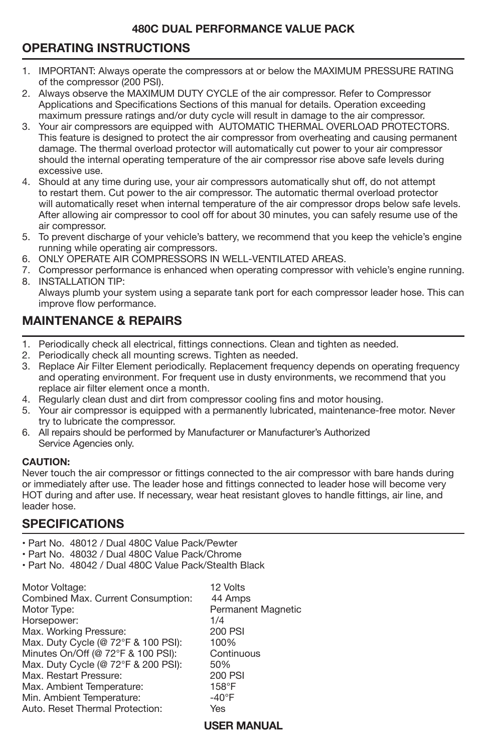# **OPERATING INSTRUCTIONS**

- j 1. IMPORTANT: Always operate the compressors at or below the MAXIMUM PRESSURE RATING of the compressor (200 PSI).
- 2. Always observe the MAXIMUM DUTY CYCLE of the air compressor. Refer to Compressor Applications and Specifications Sections of this manual for details. Operation exceeding maximum pressure ratings and/or duty cycle will result in damage to the air compressor.
- 3. Your air compressors are equipped with AUTOMATIC THERMAL OVERLOAD PROTECTORS. This feature is designed to protect the air compressor from overheating and causing permanent damage. The thermal overload protector will automatically cut power to your air compressor should the internal operating temperature of the air compressor rise above safe levels during excessive use.
- 4. Should at any time during use, your air compressors automatically shut off, do not attempt to restart them. Cut power to the air compressor. The automatic thermal overload protector will automatically reset when internal temperature of the air compressor drops below safe levels. After allowing air compressor to cool off for about 30 minutes, you can safely resume use of the air compressor.
- 5. To prevent discharge of your vehicle's battery, we recommend that you keep the vehicle's engine running while operating air compressors.
- 6. ONLY OPERATE AIR COMPRESSORS IN WELL-VENTILATED AREAS.
- 7. Compressor performance is enhanced when operating compressor with vehicle's engine running. 8. INSTALLATION TIP:
- Always plumb your system using a separate tank port for each compressor leader hose. This can improve flow performance.

# **MAINTENANCE & REPAIRS**

- 1. Periodically check all electrical, fittings connections. Clean and tighten as needed.
- 2. Periodically check all mounting screws. Tighten as needed.
- 3. Replace Air Filter Element periodically. Replacement frequency depends on operating frequency and operating environment. For frequent use in dusty environments, we recommend that you replace air filter element once a month.
- 4. Regularly clean dust and dirt from compressor cooling fins and motor housing.
- 5. Your air compressor is equipped with a permanently lubricated, maintenance-free motor. Never try to lubricate the compressor.
- 6. All repairs should be performed by Manufacturer or Manufacturer's Authorized Service Agencies only.

#### **CAUTION:**

Never touch the air compressor or fittings connected to the air compressor with bare hands during or immediately after use. The leader hose and fittings connected to leader hose will become very HOT during and after use. If necessary, wear heat resistant gloves to handle fittings, air line, and leader hose.

## **SPECIFICATIONS**

- Part No. 48012 / Dual 480C Value Pack/Pewter
- Part No. 48032 / Dual 480C Value Pack/Chrome
- Part No. 48042 / Dual 480C Value Pack/Stealth Black

| Motor Voltage:                      | 12 Volts                  |
|-------------------------------------|---------------------------|
| Combined Max. Current Consumption:  | 44 Amps                   |
| Motor Type:                         | <b>Permanent Magnetic</b> |
| Horsepower:                         | 1/4                       |
| Max. Working Pressure:              | 200 PSI                   |
| Max. Duty Cycle (@ 72°F & 100 PSI): | 100%                      |
| Minutes On/Off (@ 72°F & 100 PSI):  | Continuous                |
| Max. Duty Cycle (@ 72°F & 200 PSI): | 50%                       |
| Max. Restart Pressure:              | 200 PSI                   |
| Max. Ambient Temperature:           | 158°F                     |
| Min. Ambient Temperature:           | $-40^{\circ}$ F           |
| Auto, Reset Thermal Protection:     | Yes                       |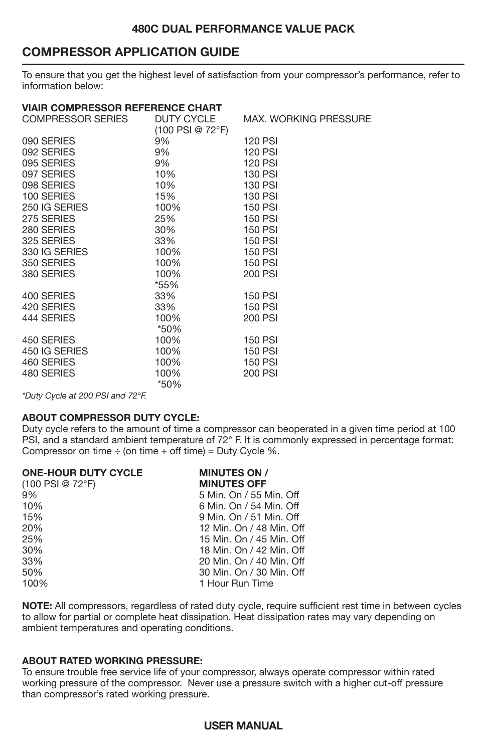### **COMPRESSOR APPLICATION GUIDE**

To ensure that you get the highest level of satisfaction from your compressor's performance, refer to information below:

| <b>VIAIR COMPRESSOR REFERENCE CHART</b> |                    |                              |
|-----------------------------------------|--------------------|------------------------------|
| COMPRESSOR SERIES                       | DUTY CYCLE         | <b>MAX. WORKING PRESSURE</b> |
|                                         | $(100$ PSI @ 72°F) |                              |
| 090 SERIES                              | 9%                 | <b>120 PSI</b>               |
| 092 SERIES                              | 9%                 | <b>120 PSI</b>               |
| 095 SERIES                              | 9%                 | <b>120 PSI</b>               |
| 097 SERIES                              | 10%                | <b>130 PSI</b>               |
| 098 SERIES                              | 10%                | <b>130 PSI</b>               |
| 100 SERIES                              | 15%                | <b>130 PSI</b>               |
| 250 IG SERIES                           | 100%               | <b>150 PSI</b>               |
| 275 SERIES                              | 25%                | <b>150 PSI</b>               |
| 280 SERIES                              | 30%                | <b>150 PSI</b>               |
| 325 SERIES                              | 33%                | <b>150 PSI</b>               |
| 330 IG SERIES                           | 100%               | <b>150 PSI</b>               |
| 350 SERIES                              | 100%               | <b>150 PSI</b>               |
| 380 SERIES                              | 100%               | 200 PSI                      |
|                                         | *55%               |                              |
| 400 SERIES                              | 33%                | <b>150 PSI</b>               |
| 420 SERIES                              | 33%                | <b>150 PSI</b>               |
| 444 SERIES                              | 100%               | 200 PSI                      |
|                                         | *50%               |                              |
| 450 SERIES                              | 100%               | <b>150 PSI</b>               |
| 450 IG SERIES                           | 100%               | <b>150 PSI</b>               |
| 460 SERIES                              | 100%               | <b>150 PSI</b>               |
| 480 SERIES                              | 100%               | 200 PSI                      |
|                                         | *50%               |                              |

*\*Duty Cycle at 200 PSI and 72°F.*

#### **ABOUT COMPRESSOR DUTY CYCLE:**

Duty cycle refers to the amount of time a compressor can be
operated in a given time period at 100 PSI, and a standard ambient temperature of 72° F. It is commonly expressed in percentage format: Compressor on time  $\div$  (on time  $+$  off time) = Duty Cycle %.

| <b>ONE-HOUR DUTY CYCLE</b> | <b>MINUTES ON /</b>      |
|----------------------------|--------------------------|
| $(100$ PSI @ 72°F)         | <b>MINUTES OFF</b>       |
| 9%                         | 5 Min. On / 55 Min. Off  |
| 10%                        | 6 Min. On / 54 Min. Off  |
| 15%                        | 9 Min. On / 51 Min. Off  |
| 20%                        | 12 Min. On / 48 Min. Off |
| 25%                        | 15 Min. On / 45 Min. Off |
| 30%                        | 18 Min. On / 42 Min. Off |
| 33%                        | 20 Min. On / 40 Min. Off |
| 50%                        | 30 Min. On / 30 Min. Off |
| 100%                       | 1 Hour Run Time          |

**NOTE:** All compressors, regardless of rated duty cycle, require sufficient rest time in between cycles to allow for partial or complete heat dissipation. Heat dissipation rates may vary depending on ambient temperatures and operating conditions.

#### **ABOUT RATED WORKING PRESSURE:**

To ensure trouble free service life of your compressor, always operate compressor within rated working pressure of the compressor. Never use a pressure switch with a higher cut-off pressure than compressor's rated working pressure.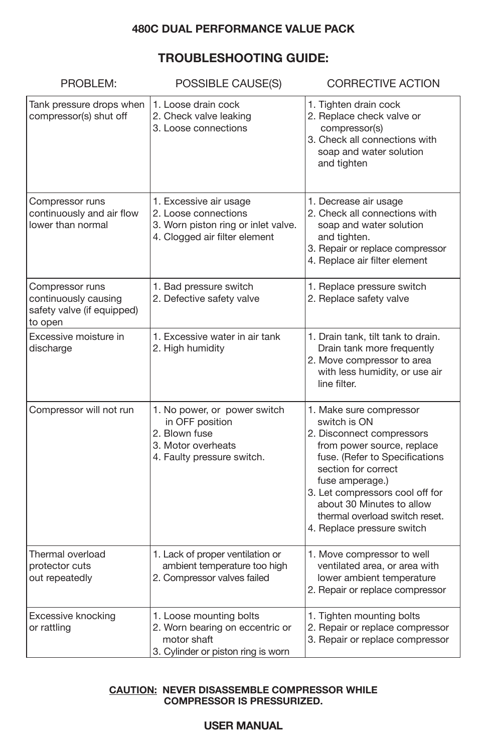### **TROUBLESHOOTING GUIDE:**

| PROBLEM:                                                                         | POSSIBLE CAUSE(S)                                                                                                      | <b>CORRECTIVE ACTION</b>                                                                                                                                                                                                                                                                                       |
|----------------------------------------------------------------------------------|------------------------------------------------------------------------------------------------------------------------|----------------------------------------------------------------------------------------------------------------------------------------------------------------------------------------------------------------------------------------------------------------------------------------------------------------|
| Tank pressure drops when<br>compressor(s) shut off                               | 1. Loose drain cock<br>2. Check valve leaking<br>3. Loose connections                                                  | 1. Tighten drain cock<br>2. Replace check valve or<br>compressor(s)<br>3. Check all connections with<br>soap and water solution<br>and tighten                                                                                                                                                                 |
| Compressor runs<br>continuously and air flow<br>lower than normal                | 1. Excessive air usage<br>2. Loose connections<br>3. Worn piston ring or inlet valve.<br>4. Clogged air filter element | 1. Decrease air usage<br>2. Check all connections with<br>soap and water solution<br>and tighten.<br>3. Repair or replace compressor<br>4. Replace air filter element                                                                                                                                          |
| Compressor runs<br>continuously causing<br>safety valve (if equipped)<br>to open | 1. Bad pressure switch<br>2. Defective safety valve                                                                    | 1. Replace pressure switch<br>2. Replace safety valve                                                                                                                                                                                                                                                          |
| Excessive moisture in<br>discharge                                               | 1. Excessive water in air tank<br>2. High humidity                                                                     | 1. Drain tank, tilt tank to drain.<br>Drain tank more frequently<br>2. Move compressor to area<br>with less humidity, or use air<br>line filter.                                                                                                                                                               |
| Compressor will not run                                                          | 1. No power, or power switch<br>in OFF position<br>2. Blown fuse<br>3. Motor overheats<br>4. Faulty pressure switch.   | 1. Make sure compressor<br>switch is ON<br>2. Disconnect compressors<br>from power source, replace<br>fuse. (Refer to Specifications<br>section for correct<br>fuse amperage.)<br>3. Let compressors cool off for<br>about 30 Minutes to allow<br>thermal overload switch reset.<br>4. Replace pressure switch |
| Thermal overload<br>protector cuts<br>out repeatedly                             | 1. Lack of proper ventilation or<br>ambient temperature too high<br>2. Compressor valves failed                        | 1. Move compressor to well<br>ventilated area, or area with<br>lower ambient temperature<br>2. Repair or replace compressor                                                                                                                                                                                    |
| Excessive knocking<br>or rattling                                                | 1. Loose mounting bolts<br>2. Worn bearing on eccentric or<br>motor shaft<br>3. Cylinder or piston ring is worn        | 1. Tighten mounting bolts<br>2. Repair or replace compressor<br>3. Repair or replace compressor                                                                                                                                                                                                                |

#### **CAUTION: NEVER DISASSEMBLE COMPRESSOR WHILE COMPRESSOR IS PRESSURIZED.**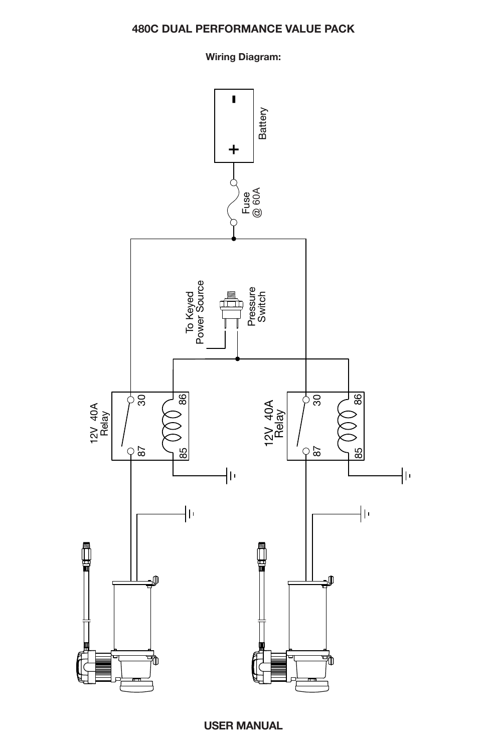### **Wiring Diagram:**